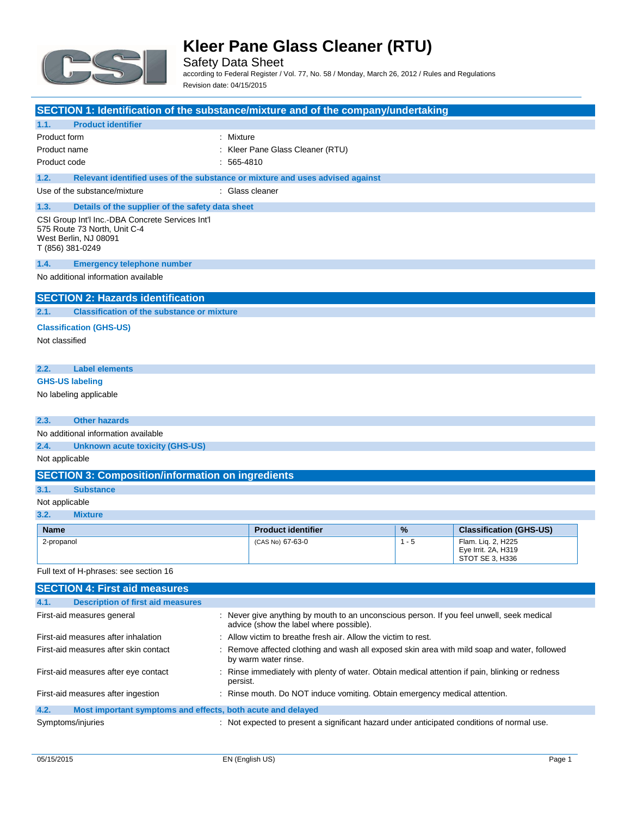

Safety Data Sheet according to Federal Register / Vol. 77, No. 58 / Monday, March 26, 2012 / Rules and Regulations Revision date: 04/15/2015

| SECTION 1: Identification of the substance/mixture and of the company/undertaking                                             |              |                                                                                                                                      |         |                                                              |
|-------------------------------------------------------------------------------------------------------------------------------|--------------|--------------------------------------------------------------------------------------------------------------------------------------|---------|--------------------------------------------------------------|
| <b>Product identifier</b><br>1.1.                                                                                             |              |                                                                                                                                      |         |                                                              |
| Product form                                                                                                                  | : Mixture    |                                                                                                                                      |         |                                                              |
| Product name                                                                                                                  |              | : Kleer Pane Glass Cleaner (RTU)                                                                                                     |         |                                                              |
| Product code                                                                                                                  | $: 565-4810$ |                                                                                                                                      |         |                                                              |
| Relevant identified uses of the substance or mixture and uses advised against<br>1.2.                                         |              |                                                                                                                                      |         |                                                              |
| Use of the substance/mixture                                                                                                  |              | : Glass cleaner                                                                                                                      |         |                                                              |
| 1.3.<br>Details of the supplier of the safety data sheet                                                                      |              |                                                                                                                                      |         |                                                              |
| CSI Group Int'l Inc.-DBA Concrete Services Int'l<br>575 Route 73 North, Unit C-4<br>West Berlin, NJ 08091<br>T (856) 381-0249 |              |                                                                                                                                      |         |                                                              |
| 1.4.<br><b>Emergency telephone number</b>                                                                                     |              |                                                                                                                                      |         |                                                              |
| No additional information available                                                                                           |              |                                                                                                                                      |         |                                                              |
| <b>SECTION 2: Hazards identification</b>                                                                                      |              |                                                                                                                                      |         |                                                              |
| <b>Classification of the substance or mixture</b><br>2.1.                                                                     |              |                                                                                                                                      |         |                                                              |
| <b>Classification (GHS-US)</b>                                                                                                |              |                                                                                                                                      |         |                                                              |
| Not classified                                                                                                                |              |                                                                                                                                      |         |                                                              |
|                                                                                                                               |              |                                                                                                                                      |         |                                                              |
| 2.2.<br><b>Label elements</b>                                                                                                 |              |                                                                                                                                      |         |                                                              |
| <b>GHS-US labeling</b>                                                                                                        |              |                                                                                                                                      |         |                                                              |
| No labeling applicable                                                                                                        |              |                                                                                                                                      |         |                                                              |
| <b>Other hazards</b><br>2.3.                                                                                                  |              |                                                                                                                                      |         |                                                              |
| No additional information available                                                                                           |              |                                                                                                                                      |         |                                                              |
| 2.4.<br><b>Unknown acute toxicity (GHS-US)</b>                                                                                |              |                                                                                                                                      |         |                                                              |
| Not applicable                                                                                                                |              |                                                                                                                                      |         |                                                              |
| <b>SECTION 3: Composition/information on ingredients</b>                                                                      |              |                                                                                                                                      |         |                                                              |
| 3.1.<br><b>Substance</b>                                                                                                      |              |                                                                                                                                      |         |                                                              |
| Not applicable                                                                                                                |              |                                                                                                                                      |         |                                                              |
| 3.2.<br><b>Mixture</b>                                                                                                        |              |                                                                                                                                      |         |                                                              |
| Name                                                                                                                          |              | <b>Product identifier</b>                                                                                                            | %       | <b>Classification (GHS-US)</b>                               |
| 2-propanol                                                                                                                    |              | (CAS No) 67-63-0                                                                                                                     | $1 - 5$ | Flam. Lig. 2, H225<br>Eye Irrit. 2A, H319<br>STOT SE 3, H336 |
| Full text of H-phrases: see section 16                                                                                        |              |                                                                                                                                      |         |                                                              |
| <b>SECTION 4: First aid measures</b>                                                                                          |              |                                                                                                                                      |         |                                                              |
| <b>Description of first aid measures</b><br>4.1.                                                                              |              |                                                                                                                                      |         |                                                              |
| First-aid measures general                                                                                                    |              | : Never give anything by mouth to an unconscious person. If you feel unwell, seek medical<br>advice (show the label where possible). |         |                                                              |
| First-aid measures after inhalation<br>Allow victim to breathe fresh air. Allow the victim to rest.                           |              |                                                                                                                                      |         |                                                              |
| First-aid measures after skin contact                                                                                         |              | Remove affected clothing and wash all exposed skin area with mild soap and water, followed<br>by warm water rinse.                   |         |                                                              |

### **4.2. Most important symptoms and effects, both acute and delayed**

| Symptoms/injuries | : Not expected to present a significant hazard under anticipated conditions of normal use. |
|-------------------|--------------------------------------------------------------------------------------------|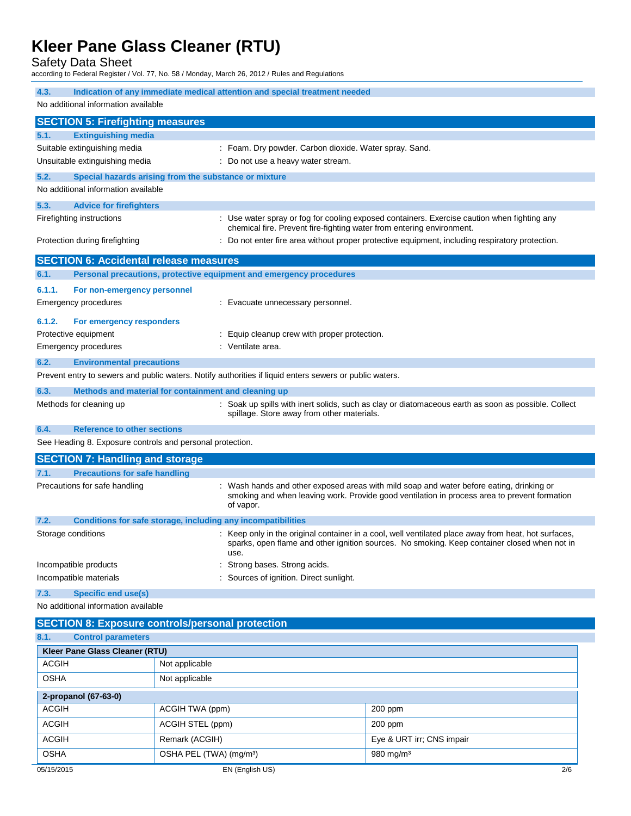Safety Data Sheet

according to Federal Register / Vol. 77, No. 58 / Monday, March 26, 2012 / Rules and Regulations

| 4.3.                                                      | Indication of any immediate medical attention and special treatment needed                              |                                                                                                      |  |  |
|-----------------------------------------------------------|---------------------------------------------------------------------------------------------------------|------------------------------------------------------------------------------------------------------|--|--|
| No additional information available                       |                                                                                                         |                                                                                                      |  |  |
| <b>SECTION 5: Firefighting measures</b>                   |                                                                                                         |                                                                                                      |  |  |
| 5.1.<br><b>Extinguishing media</b>                        |                                                                                                         |                                                                                                      |  |  |
| Suitable extinguishing media                              |                                                                                                         | : Foam. Dry powder. Carbon dioxide. Water spray. Sand.                                               |  |  |
| Unsuitable extinguishing media                            | : Do not use a heavy water stream.                                                                      |                                                                                                      |  |  |
| 5.2.                                                      | Special hazards arising from the substance or mixture                                                   |                                                                                                      |  |  |
| No additional information available                       |                                                                                                         |                                                                                                      |  |  |
| 5.3.<br><b>Advice for firefighters</b>                    |                                                                                                         |                                                                                                      |  |  |
| Firefighting instructions                                 |                                                                                                         | : Use water spray or fog for cooling exposed containers. Exercise caution when fighting any          |  |  |
|                                                           |                                                                                                         | chemical fire. Prevent fire-fighting water from entering environment.                                |  |  |
| Protection during firefighting                            |                                                                                                         | : Do not enter fire area without proper protective equipment, including respiratory protection.      |  |  |
| <b>SECTION 6: Accidental release measures</b>             |                                                                                                         |                                                                                                      |  |  |
| 6.1.                                                      | Personal precautions, protective equipment and emergency procedures                                     |                                                                                                      |  |  |
| 6.1.1.<br>For non-emergency personnel                     |                                                                                                         |                                                                                                      |  |  |
| Emergency procedures                                      | : Evacuate unnecessary personnel.                                                                       |                                                                                                      |  |  |
| 6.1.2.<br>For emergency responders                        |                                                                                                         |                                                                                                      |  |  |
| Protective equipment                                      | : Equip cleanup crew with proper protection.                                                            |                                                                                                      |  |  |
| Emergency procedures                                      | : Ventilate area.                                                                                       |                                                                                                      |  |  |
| 6.2.<br><b>Environmental precautions</b>                  |                                                                                                         |                                                                                                      |  |  |
|                                                           | Prevent entry to sewers and public waters. Notify authorities if liquid enters sewers or public waters. |                                                                                                      |  |  |
| 6.3.                                                      | Methods and material for containment and cleaning up                                                    |                                                                                                      |  |  |
| Methods for cleaning up                                   |                                                                                                         | : Soak up spills with inert solids, such as clay or diatomaceous earth as soon as possible. Collect  |  |  |
|                                                           | spillage. Store away from other materials.                                                              |                                                                                                      |  |  |
| 6.4.<br><b>Reference to other sections</b>                |                                                                                                         |                                                                                                      |  |  |
| See Heading 8. Exposure controls and personal protection. |                                                                                                         |                                                                                                      |  |  |
| <b>SECTION 7: Handling and storage</b>                    |                                                                                                         |                                                                                                      |  |  |
| <b>Precautions for safe handling</b><br>7.1.              |                                                                                                         |                                                                                                      |  |  |
| Precautions for safe handling                             |                                                                                                         | Wash hands and other exposed areas with mild soap and water before eating, drinking or               |  |  |
|                                                           | of vapor.                                                                                               | smoking and when leaving work. Provide good ventilation in process area to prevent formation         |  |  |
| 7.2.                                                      | Conditions for safe storage, including any incompatibilities                                            |                                                                                                      |  |  |
| Storage conditions                                        |                                                                                                         | : Keep only in the original container in a cool, well ventilated place away from heat, hot surfaces, |  |  |
|                                                           |                                                                                                         | sparks, open flame and other ignition sources. No smoking. Keep container closed when not in         |  |  |
| Incompatible products                                     |                                                                                                         | use.<br>Strong bases. Strong acids.                                                                  |  |  |
| Incompatible materials                                    |                                                                                                         | Sources of ignition. Direct sunlight.                                                                |  |  |
| 7.3.<br><b>Specific end use(s)</b>                        |                                                                                                         |                                                                                                      |  |  |
| No additional information available                       |                                                                                                         |                                                                                                      |  |  |
|                                                           |                                                                                                         |                                                                                                      |  |  |
| 8.1.<br><b>Control parameters</b>                         | <b>SECTION 8: Exposure controls/personal protection</b>                                                 |                                                                                                      |  |  |
| Kleer Pane Glass Cleaner (RTU)                            |                                                                                                         |                                                                                                      |  |  |
| <b>ACGIH</b>                                              | Not applicable                                                                                          |                                                                                                      |  |  |
| <b>OSHA</b><br>Not applicable                             |                                                                                                         |                                                                                                      |  |  |
|                                                           |                                                                                                         |                                                                                                      |  |  |
| 2-propanol (67-63-0)<br><b>ACGIH</b>                      |                                                                                                         |                                                                                                      |  |  |
|                                                           | ACGIH TWA (ppm)                                                                                         | 200 ppm                                                                                              |  |  |
| <b>ACGIH</b>                                              | ACGIH STEL (ppm)                                                                                        | 200 ppm                                                                                              |  |  |
| <b>ACGIH</b>                                              | Remark (ACGIH)                                                                                          | Eye & URT irr; CNS impair                                                                            |  |  |
| <b>OSHA</b>                                               | OSHA PEL (TWA) (mg/m <sup>3</sup> )                                                                     | 980 mg/m <sup>3</sup>                                                                                |  |  |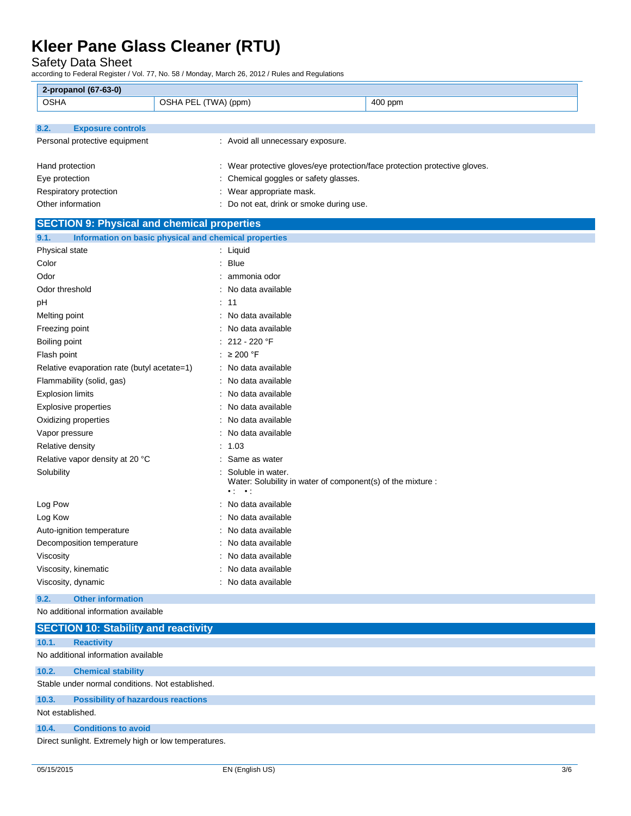Safety Data Sheet

according to Federal Register / Vol. 77, No. 58 / Monday, March 26, 2012 / Rules and Regulations

| <b>OSHA</b><br>OSHA PEL (TWA) (ppm)<br>400 ppm<br><b>Exposure controls</b><br>: Avoid all unnecessary exposure.<br>: Wear protective gloves/eye protection/face protection protective gloves.<br>: Chemical goggles or safety glasses.<br>: Wear appropriate mask.<br>Other information<br>: Do not eat, drink or smoke during use.<br><b>SECTION 9: Physical and chemical properties</b><br>Information on basic physical and chemical properties<br>: Liquid<br>: Blue<br>: ammonia odor<br>: No data available<br>: 11<br>: No data available<br>: No data available<br>: 212 - 220 °F<br>: $\geq 200$ °F<br>Relative evaporation rate (butyl acetate=1)<br>: No data available<br>: No data available<br>: No data available<br>: No data available<br>: No data available<br>: No data available<br>: 1.03<br>: Same as water<br>Soluble in water.<br>Water: Solubility in water of component(s) of the mixture :<br>$\cdot$ :<br>$\rightarrow$ :<br>: No data available<br>No data available<br>: No data available<br>: No data available<br>: No data available<br>: No data available<br>: No data available | 2-propanol (67-63-0)            |  |
|-----------------------------------------------------------------------------------------------------------------------------------------------------------------------------------------------------------------------------------------------------------------------------------------------------------------------------------------------------------------------------------------------------------------------------------------------------------------------------------------------------------------------------------------------------------------------------------------------------------------------------------------------------------------------------------------------------------------------------------------------------------------------------------------------------------------------------------------------------------------------------------------------------------------------------------------------------------------------------------------------------------------------------------------------------------------------------------------------------------------------|---------------------------------|--|
|                                                                                                                                                                                                                                                                                                                                                                                                                                                                                                                                                                                                                                                                                                                                                                                                                                                                                                                                                                                                                                                                                                                       |                                 |  |
|                                                                                                                                                                                                                                                                                                                                                                                                                                                                                                                                                                                                                                                                                                                                                                                                                                                                                                                                                                                                                                                                                                                       |                                 |  |
|                                                                                                                                                                                                                                                                                                                                                                                                                                                                                                                                                                                                                                                                                                                                                                                                                                                                                                                                                                                                                                                                                                                       | 8.2.                            |  |
|                                                                                                                                                                                                                                                                                                                                                                                                                                                                                                                                                                                                                                                                                                                                                                                                                                                                                                                                                                                                                                                                                                                       | Personal protective equipment   |  |
|                                                                                                                                                                                                                                                                                                                                                                                                                                                                                                                                                                                                                                                                                                                                                                                                                                                                                                                                                                                                                                                                                                                       |                                 |  |
|                                                                                                                                                                                                                                                                                                                                                                                                                                                                                                                                                                                                                                                                                                                                                                                                                                                                                                                                                                                                                                                                                                                       | Hand protection                 |  |
|                                                                                                                                                                                                                                                                                                                                                                                                                                                                                                                                                                                                                                                                                                                                                                                                                                                                                                                                                                                                                                                                                                                       | Eye protection                  |  |
|                                                                                                                                                                                                                                                                                                                                                                                                                                                                                                                                                                                                                                                                                                                                                                                                                                                                                                                                                                                                                                                                                                                       | Respiratory protection          |  |
|                                                                                                                                                                                                                                                                                                                                                                                                                                                                                                                                                                                                                                                                                                                                                                                                                                                                                                                                                                                                                                                                                                                       |                                 |  |
|                                                                                                                                                                                                                                                                                                                                                                                                                                                                                                                                                                                                                                                                                                                                                                                                                                                                                                                                                                                                                                                                                                                       |                                 |  |
|                                                                                                                                                                                                                                                                                                                                                                                                                                                                                                                                                                                                                                                                                                                                                                                                                                                                                                                                                                                                                                                                                                                       | 9.1.                            |  |
|                                                                                                                                                                                                                                                                                                                                                                                                                                                                                                                                                                                                                                                                                                                                                                                                                                                                                                                                                                                                                                                                                                                       | Physical state                  |  |
|                                                                                                                                                                                                                                                                                                                                                                                                                                                                                                                                                                                                                                                                                                                                                                                                                                                                                                                                                                                                                                                                                                                       | Color                           |  |
|                                                                                                                                                                                                                                                                                                                                                                                                                                                                                                                                                                                                                                                                                                                                                                                                                                                                                                                                                                                                                                                                                                                       | Odor                            |  |
|                                                                                                                                                                                                                                                                                                                                                                                                                                                                                                                                                                                                                                                                                                                                                                                                                                                                                                                                                                                                                                                                                                                       | Odor threshold                  |  |
|                                                                                                                                                                                                                                                                                                                                                                                                                                                                                                                                                                                                                                                                                                                                                                                                                                                                                                                                                                                                                                                                                                                       | рH                              |  |
|                                                                                                                                                                                                                                                                                                                                                                                                                                                                                                                                                                                                                                                                                                                                                                                                                                                                                                                                                                                                                                                                                                                       | Melting point                   |  |
|                                                                                                                                                                                                                                                                                                                                                                                                                                                                                                                                                                                                                                                                                                                                                                                                                                                                                                                                                                                                                                                                                                                       | Freezing point                  |  |
|                                                                                                                                                                                                                                                                                                                                                                                                                                                                                                                                                                                                                                                                                                                                                                                                                                                                                                                                                                                                                                                                                                                       | Boiling point                   |  |
|                                                                                                                                                                                                                                                                                                                                                                                                                                                                                                                                                                                                                                                                                                                                                                                                                                                                                                                                                                                                                                                                                                                       | Flash point                     |  |
|                                                                                                                                                                                                                                                                                                                                                                                                                                                                                                                                                                                                                                                                                                                                                                                                                                                                                                                                                                                                                                                                                                                       |                                 |  |
|                                                                                                                                                                                                                                                                                                                                                                                                                                                                                                                                                                                                                                                                                                                                                                                                                                                                                                                                                                                                                                                                                                                       | Flammability (solid, gas)       |  |
|                                                                                                                                                                                                                                                                                                                                                                                                                                                                                                                                                                                                                                                                                                                                                                                                                                                                                                                                                                                                                                                                                                                       | <b>Explosion limits</b>         |  |
|                                                                                                                                                                                                                                                                                                                                                                                                                                                                                                                                                                                                                                                                                                                                                                                                                                                                                                                                                                                                                                                                                                                       | <b>Explosive properties</b>     |  |
|                                                                                                                                                                                                                                                                                                                                                                                                                                                                                                                                                                                                                                                                                                                                                                                                                                                                                                                                                                                                                                                                                                                       | Oxidizing properties            |  |
|                                                                                                                                                                                                                                                                                                                                                                                                                                                                                                                                                                                                                                                                                                                                                                                                                                                                                                                                                                                                                                                                                                                       | Vapor pressure                  |  |
|                                                                                                                                                                                                                                                                                                                                                                                                                                                                                                                                                                                                                                                                                                                                                                                                                                                                                                                                                                                                                                                                                                                       | Relative density                |  |
|                                                                                                                                                                                                                                                                                                                                                                                                                                                                                                                                                                                                                                                                                                                                                                                                                                                                                                                                                                                                                                                                                                                       | Relative vapor density at 20 °C |  |
|                                                                                                                                                                                                                                                                                                                                                                                                                                                                                                                                                                                                                                                                                                                                                                                                                                                                                                                                                                                                                                                                                                                       | Solubility                      |  |
|                                                                                                                                                                                                                                                                                                                                                                                                                                                                                                                                                                                                                                                                                                                                                                                                                                                                                                                                                                                                                                                                                                                       | Log Pow                         |  |
|                                                                                                                                                                                                                                                                                                                                                                                                                                                                                                                                                                                                                                                                                                                                                                                                                                                                                                                                                                                                                                                                                                                       | Log Kow                         |  |
|                                                                                                                                                                                                                                                                                                                                                                                                                                                                                                                                                                                                                                                                                                                                                                                                                                                                                                                                                                                                                                                                                                                       | Auto-ignition temperature       |  |
|                                                                                                                                                                                                                                                                                                                                                                                                                                                                                                                                                                                                                                                                                                                                                                                                                                                                                                                                                                                                                                                                                                                       | Decomposition temperature       |  |
|                                                                                                                                                                                                                                                                                                                                                                                                                                                                                                                                                                                                                                                                                                                                                                                                                                                                                                                                                                                                                                                                                                                       | Viscosity                       |  |
|                                                                                                                                                                                                                                                                                                                                                                                                                                                                                                                                                                                                                                                                                                                                                                                                                                                                                                                                                                                                                                                                                                                       | Viscosity, kinematic            |  |
|                                                                                                                                                                                                                                                                                                                                                                                                                                                                                                                                                                                                                                                                                                                                                                                                                                                                                                                                                                                                                                                                                                                       | Viscosity, dynamic              |  |

### **9.2. Other information**

No additional information available

|                  | <b>SECTION 10: Stability and reactivity</b>          |
|------------------|------------------------------------------------------|
| 10.1.            | <b>Reactivity</b>                                    |
|                  | No additional information available                  |
| 10.2.            | <b>Chemical stability</b>                            |
|                  | Stable under normal conditions. Not established.     |
| 10.3.            | <b>Possibility of hazardous reactions</b>            |
| Not established. |                                                      |
| 10.4.            | <b>Conditions to avoid</b>                           |
|                  | Direct sunlight. Extremely high or low temperatures. |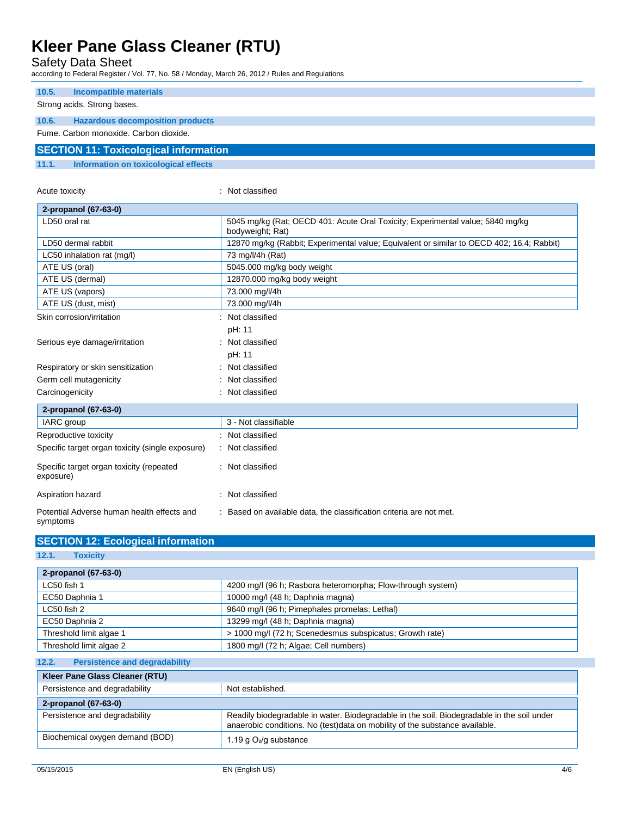Safety Data Sheet

according to Federal Register / Vol. 77, No. 58 / Monday, March 26, 2012 / Rules and Regulations

| 10.5. | Incompatible materials                       |
|-------|----------------------------------------------|
|       | Strong acids. Strong bases.                  |
|       |                                              |
| 10.6. | <b>Hazardous decomposition products</b>      |
|       | Fume, Carbon monoxide, Carbon dioxide.       |
|       | <b>SECTION 11: Toxicological information</b> |
| 11.1. | Information on toxicological effects         |

| Acute toxicity                                         | Not classified                                                                                     |  |
|--------------------------------------------------------|----------------------------------------------------------------------------------------------------|--|
| 2-propanol (67-63-0)                                   |                                                                                                    |  |
| LD50 oral rat                                          | 5045 mg/kg (Rat; OECD 401: Acute Oral Toxicity; Experimental value; 5840 mg/kg<br>bodyweight; Rat) |  |
| LD50 dermal rabbit                                     | 12870 mg/kg (Rabbit; Experimental value; Equivalent or similar to OECD 402; 16.4; Rabbit)          |  |
| LC50 inhalation rat (mg/l)                             | 73 mg/l/4h (Rat)                                                                                   |  |
| ATE US (oral)                                          | 5045.000 mg/kg body weight                                                                         |  |
| ATE US (dermal)                                        | 12870.000 mg/kg body weight                                                                        |  |
| ATE US (vapors)                                        | 73.000 mg/l/4h                                                                                     |  |
| ATE US (dust, mist)                                    | 73.000 mg/l/4h                                                                                     |  |
| Skin corrosion/irritation                              | Not classified                                                                                     |  |
|                                                        | pH: 11                                                                                             |  |
| Serious eye damage/irritation                          | : Not classified                                                                                   |  |
|                                                        | pH: 11                                                                                             |  |
| Respiratory or skin sensitization                      | : Not classified                                                                                   |  |
| Germ cell mutagenicity                                 | Not classified                                                                                     |  |
| Carcinogenicity                                        | : Not classified                                                                                   |  |
| 2-propanol (67-63-0)                                   |                                                                                                    |  |
| IARC group                                             | 3 - Not classifiable                                                                               |  |
| Reproductive toxicity                                  | : Not classified                                                                                   |  |
| Specific target organ toxicity (single exposure)       | Not classified                                                                                     |  |
| Specific target organ toxicity (repeated<br>exposure)  | : Not classified                                                                                   |  |
| Aspiration hazard                                      | : Not classified                                                                                   |  |
| Potential Adverse human health effects and<br>symptoms | : Based on available data, the classification criteria are not met.                                |  |

| 2-propanol (67-63-0)                                                            |                                                                                                                                                                            |  |
|---------------------------------------------------------------------------------|----------------------------------------------------------------------------------------------------------------------------------------------------------------------------|--|
| LC50 fish 1                                                                     | 4200 mg/l (96 h; Rasbora heteromorpha; Flow-through system)                                                                                                                |  |
| EC50 Daphnia 1                                                                  | 10000 mg/l (48 h; Daphnia magna)                                                                                                                                           |  |
| $LC50$ fish 2                                                                   | 9640 mg/l (96 h; Pimephales promelas; Lethal)                                                                                                                              |  |
| EC50 Daphnia 2                                                                  | 13299 mg/l (48 h; Daphnia magna)                                                                                                                                           |  |
| Threshold limit algae 1                                                         | > 1000 mg/l (72 h; Scenedesmus subspicatus; Growth rate)                                                                                                                   |  |
| 1800 mg/l (72 h; Algae; Cell numbers)<br>Threshold limit algae 2                |                                                                                                                                                                            |  |
| <b>Persistence and degradability</b><br>12.2.<br>Kleer Pane Glass Cleaner (RTU) |                                                                                                                                                                            |  |
| Persistence and degradability                                                   | Not established.                                                                                                                                                           |  |
| 2-propanol (67-63-0)                                                            |                                                                                                                                                                            |  |
| Persistence and degradability                                                   | Readily biodegradable in water. Biodegradable in the soil. Biodegradable in the soil under<br>anaerobic conditions. No (test) data on mobility of the substance available. |  |
| Biochemical oxygen demand (BOD)                                                 | 1.19 g O <sub>2</sub> /g substance                                                                                                                                         |  |

**SECTION 12: Ecological information**

**12.1. Toxicity**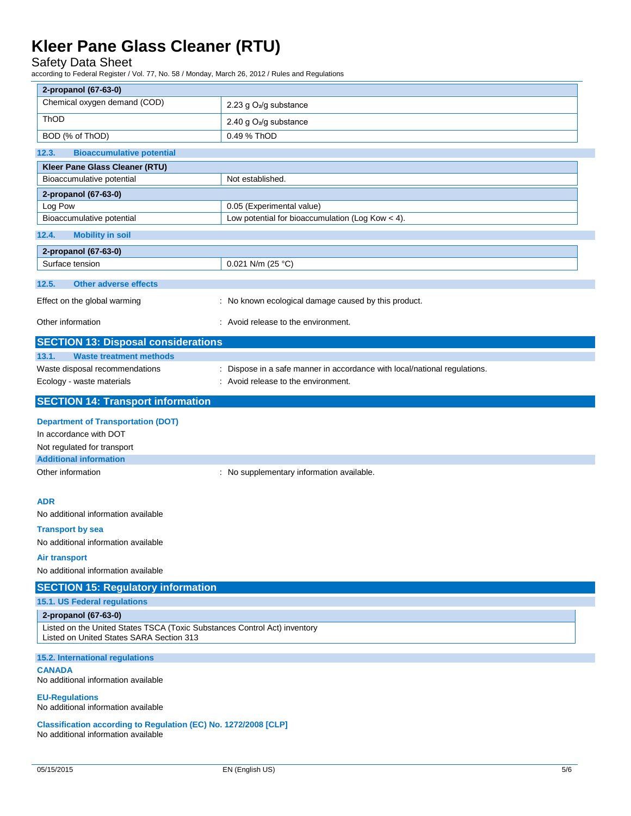### Safety Data Sheet

according to Federal Register / Vol. 77, No. 58 / Monday, March 26, 2012 / Rules and Regulations

| 2-propanol (67-63-0)                                                                                                  |                                                                           |
|-----------------------------------------------------------------------------------------------------------------------|---------------------------------------------------------------------------|
| Chemical oxygen demand (COD)                                                                                          | 2.23 g O <sub>2</sub> /g substance                                        |
| ThOD                                                                                                                  |                                                                           |
|                                                                                                                       | 2.40 g O <sub>2</sub> /g substance<br>0.49 % ThOD                         |
| BOD (% of ThOD)                                                                                                       |                                                                           |
| <b>Bioaccumulative potential</b><br>12.3.                                                                             |                                                                           |
| Kleer Pane Glass Cleaner (RTU)                                                                                        |                                                                           |
| Bioaccumulative potential                                                                                             | Not established.                                                          |
| 2-propanol (67-63-0)                                                                                                  | 0.05 (Experimental value)                                                 |
| Log Pow<br>Bioaccumulative potential                                                                                  | Low potential for bioaccumulation (Log Kow < 4).                          |
| 12.4.<br><b>Mobility in soil</b>                                                                                      |                                                                           |
|                                                                                                                       |                                                                           |
| 2-propanol (67-63-0)                                                                                                  | 0.021 N/m (25 °C)                                                         |
| Surface tension                                                                                                       |                                                                           |
| 12.5.<br><b>Other adverse effects</b>                                                                                 |                                                                           |
| Effect on the global warming                                                                                          | : No known ecological damage caused by this product.                      |
| Other information                                                                                                     | : Avoid release to the environment.                                       |
| <b>SECTION 13: Disposal considerations</b>                                                                            |                                                                           |
| 13.1.<br><b>Waste treatment methods</b>                                                                               |                                                                           |
| Waste disposal recommendations                                                                                        | : Dispose in a safe manner in accordance with local/national regulations. |
| Ecology - waste materials                                                                                             | : Avoid release to the environment.                                       |
| <b>SECTION 14: Transport information</b>                                                                              |                                                                           |
| <b>Department of Transportation (DOT)</b>                                                                             |                                                                           |
| In accordance with DOT                                                                                                |                                                                           |
| Not regulated for transport                                                                                           |                                                                           |
| <b>Additional information</b>                                                                                         |                                                                           |
| Other information                                                                                                     | : No supplementary information available.                                 |
|                                                                                                                       |                                                                           |
| <b>ADR</b>                                                                                                            |                                                                           |
| No additional information available                                                                                   |                                                                           |
| <b>Transport by sea</b>                                                                                               |                                                                           |
| No additional information available                                                                                   |                                                                           |
| Air transport                                                                                                         |                                                                           |
| No additional information available                                                                                   |                                                                           |
| <b>SECTION 15: Regulatory information</b>                                                                             |                                                                           |
| 15.1. US Federal regulations                                                                                          |                                                                           |
| 2-propanol (67-63-0)                                                                                                  |                                                                           |
| Listed on the United States TSCA (Toxic Substances Control Act) inventory<br>Listed on United States SARA Section 313 |                                                                           |
| 15.2. International regulations                                                                                       |                                                                           |
| <b>CANADA</b><br>No additional information available                                                                  |                                                                           |
| <b>EU-Regulations</b><br>No additional information available                                                          |                                                                           |
| Classification according to Regulation (EC) No. 1272/2008 [CLP]<br>No additional information available                |                                                                           |